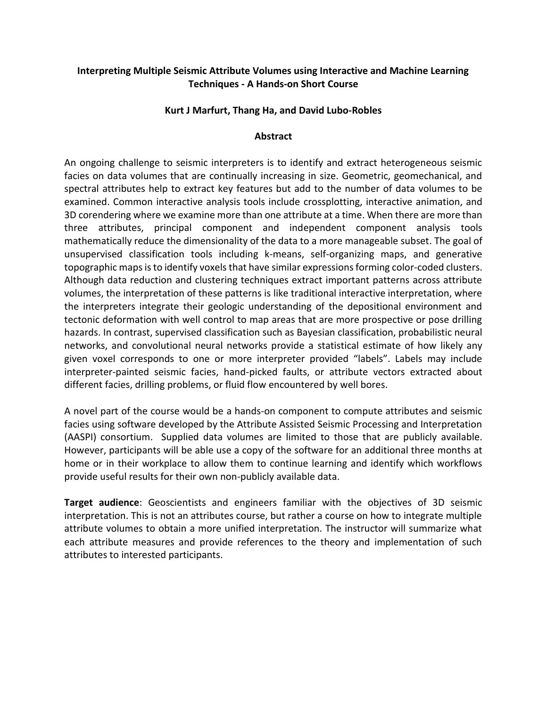## **Interpreting Multiple Seismic Attribute Volumes using Interactive and Machine Learning Techniques - A Hands-on Short Course**

## **Kurt J Marfurt, Thang Ha, and David Lubo-Robles**

## **Abstract**

An ongoing challenge to seismic interpreters is to identify and extract heterogeneous seismic facies on data volumes that are continually increasing in size. Geometric, geomechanical, and spectral attributes help to extract key features but add to the number of data volumes to be examined. Common interactive analysis tools include crossplotting, interactive animation, and 3D corendering where we examine more than one attribute at a time. When there are more than three attributes, principal component and independent component analysis tools mathematically reduce the dimensionality of the data to a more manageable subset. The goal of unsupervised classification tools including k-means, self-organizing maps, and generative topographic maps is to identify voxels that have similar expressions forming color-coded clusters. Although data reduction and clustering techniques extract important patterns across attribute volumes, the interpretation of these patterns is like traditional interactive interpretation, where the interpreters integrate their geologic understanding of the depositional environment and tectonic deformation with well control to map areas that are more prospective or pose drilling hazards. In contrast, supervised classification such as Bayesian classification, probabilistic neural networks, and convolutional neural networks provide a statistical estimate of how likely any given voxel corresponds to one or more interpreter provided "labels". Labels may include interpreter-painted seismic facies, hand-picked faults, or attribute vectors extracted about different facies, drilling problems, or fluid flow encountered by well bores.

A novel part of the course would be a hands-on component to compute attributes and seismic facies using software developed by the Attribute Assisted Seismic Processing and Interpretation (AASPI) consortium. Supplied data volumes are limited to those that are publicly available. However, participants will be able use a copy of the software for an additional three months at home or in their workplace to allow them to continue learning and identify which workflows provide useful results for their own non-publicly available data.

**Target audience**: Geoscientists and engineers familiar with the objectives of 3D seismic interpretation. This is not an attributes course, but rather a course on how to integrate multiple attribute volumes to obtain a more unified interpretation. The instructor will summarize what each attribute measures and provide references to the theory and implementation of such attributes to interested participants.